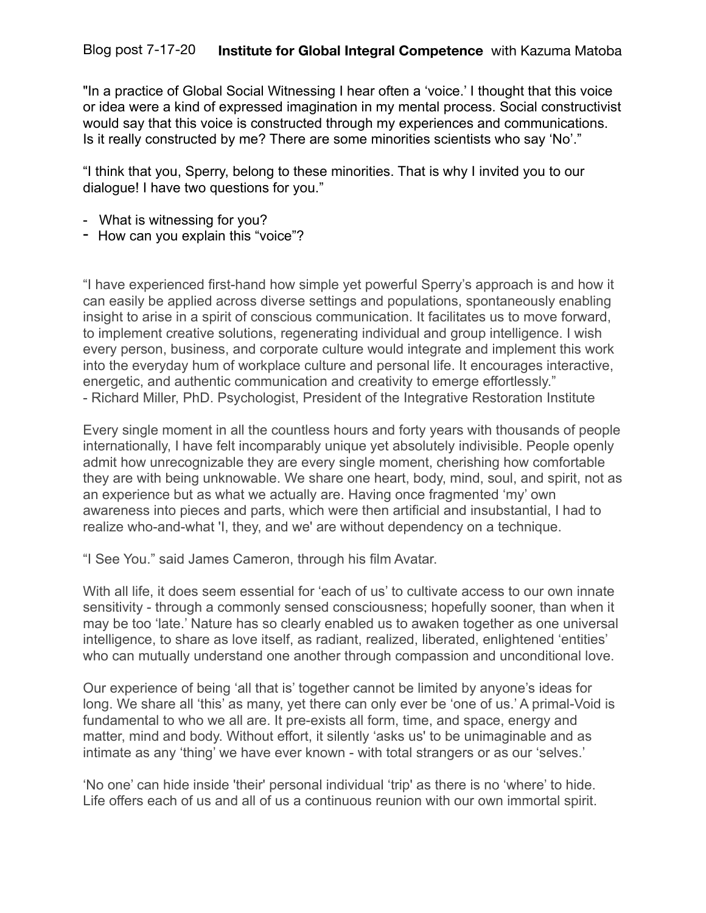"In a practice of Global Social Witnessing I hear often a 'voice.' I thought that this voice or idea were a kind of expressed imagination in my mental process. Social constructivist would say that this voice is constructed through my experiences and communications. Is it really constructed by me? There are some minorities scientists who say 'No'."

"I think that you, Sperry, belong to these minorities. That is why I invited you to our dialogue! I have two questions for you."

- What is witnessing for you?
- How can you explain this "voice"?

"I have experienced first-hand how simple yet powerful Sperry's approach is and how it can easily be applied across diverse settings and populations, spontaneously enabling insight to arise in a spirit of conscious communication. It facilitates us to move forward, to implement creative solutions, regenerating individual and group intelligence. I wish every person, business, and corporate culture would integrate and implement this work into the everyday hum of workplace culture and personal life. It encourages interactive, energetic, and authentic communication and creativity to emerge effortlessly." - Richard Miller, PhD. Psychologist, President of the Integrative Restoration Institute

Every single moment in all the countless hours and forty years with thousands of people internationally, I have felt incomparably unique yet absolutely indivisible. People openly admit how unrecognizable they are every single moment, cherishing how comfortable they are with being unknowable. We share one heart, body, mind, soul, and spirit, not as an experience but as what we actually are. Having once fragmented 'my' own awareness into pieces and parts, which were then artificial and insubstantial, I had to realize who-and-what 'I, they, and we' are without dependency on a technique.

"I See You." said James Cameron, through his film Avatar.

With all life, it does seem essential for 'each of us' to cultivate access to our own innate sensitivity - through a commonly sensed consciousness; hopefully sooner, than when it may be too 'late.' Nature has so clearly enabled us to awaken together as one universal intelligence, to share as love itself, as radiant, realized, liberated, enlightened 'entities' who can mutually understand one another through compassion and unconditional love.

Our experience of being 'all that is' together cannot be limited by anyone's ideas for long. We share all 'this' as many, yet there can only ever be 'one of us.' A primal-Void is fundamental to who we all are. It pre-exists all form, time, and space, energy and matter, mind and body. Without effort, it silently 'asks us' to be unimaginable and as intimate as any 'thing' we have ever known - with total strangers or as our 'selves.'

'No one' can hide inside 'their' personal individual 'trip' as there is no 'where' to hide. Life offers each of us and all of us a continuous reunion with our own immortal spirit.